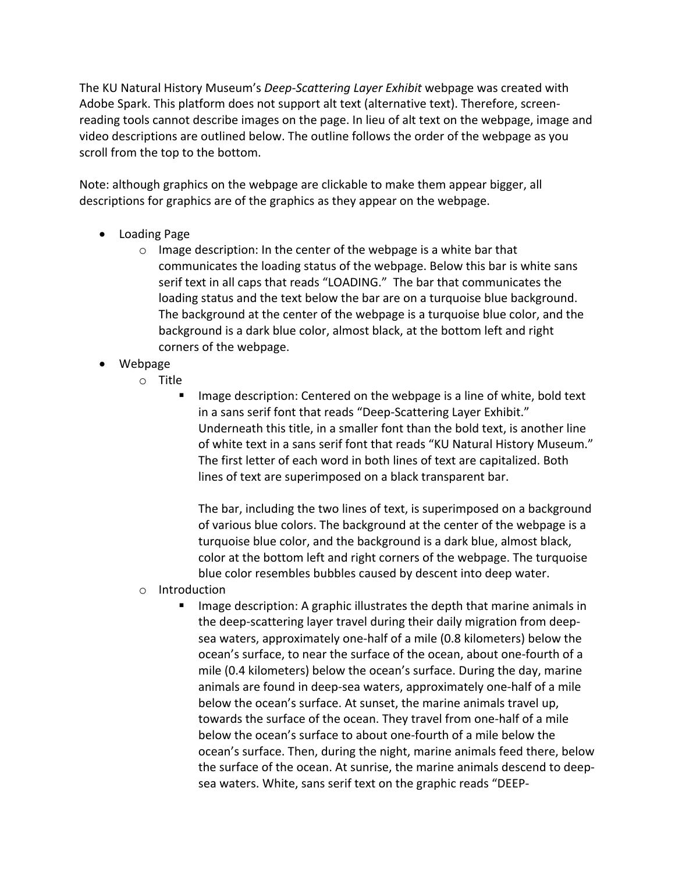The KU Natural History Museum's *Deep-Scattering Layer Exhibit* webpage was created with Adobe Spark. This platform does not support alt text (alternative text). Therefore, screenreading tools cannot describe images on the page. In lieu of alt text on the webpage, image and video descriptions are outlined below. The outline follows the order of the webpage as you scroll from the top to the bottom.

Note: although graphics on the webpage are clickable to make them appear bigger, all descriptions for graphics are of the graphics as they appear on the webpage.

- Loading Page
	- $\circ$  Image description: In the center of the webpage is a white bar that communicates the loading status of the webpage. Below this bar is white sans serif text in all caps that reads "LOADING." The bar that communicates the loading status and the text below the bar are on a turquoise blue background. The background at the center of the webpage is a turquoise blue color, and the background is a dark blue color, almost black, at the bottom left and right corners of the webpage.
- Webpage
	- o Title
		- Image description: Centered on the webpage is a line of white, bold text in a sans serif font that reads "Deep-Scattering Layer Exhibit." Underneath this title, in a smaller font than the bold text, is another line of white text in a sans serif font that reads "KU Natural History Museum." The first letter of each word in both lines of text are capitalized. Both lines of text are superimposed on a black transparent bar.

The bar, including the two lines of text, is superimposed on a background of various blue colors. The background at the center of the webpage is a turquoise blue color, and the background is a dark blue, almost black, color at the bottom left and right corners of the webpage. The turquoise blue color resembles bubbles caused by descent into deep water.

- o Introduction
	- Image description: A graphic illustrates the depth that marine animals in the deep-scattering layer travel during their daily migration from deepsea waters, approximately one-half of a mile (0.8 kilometers) below the ocean's surface, to near the surface of the ocean, about one-fourth of a mile (0.4 kilometers) below the ocean's surface. During the day, marine animals are found in deep-sea waters, approximately one-half of a mile below the ocean's surface. At sunset, the marine animals travel up, towards the surface of the ocean. They travel from one-half of a mile below the ocean's surface to about one-fourth of a mile below the ocean's surface. Then, during the night, marine animals feed there, below the surface of the ocean. At sunrise, the marine animals descend to deepsea waters. White, sans serif text on the graphic reads "DEEP-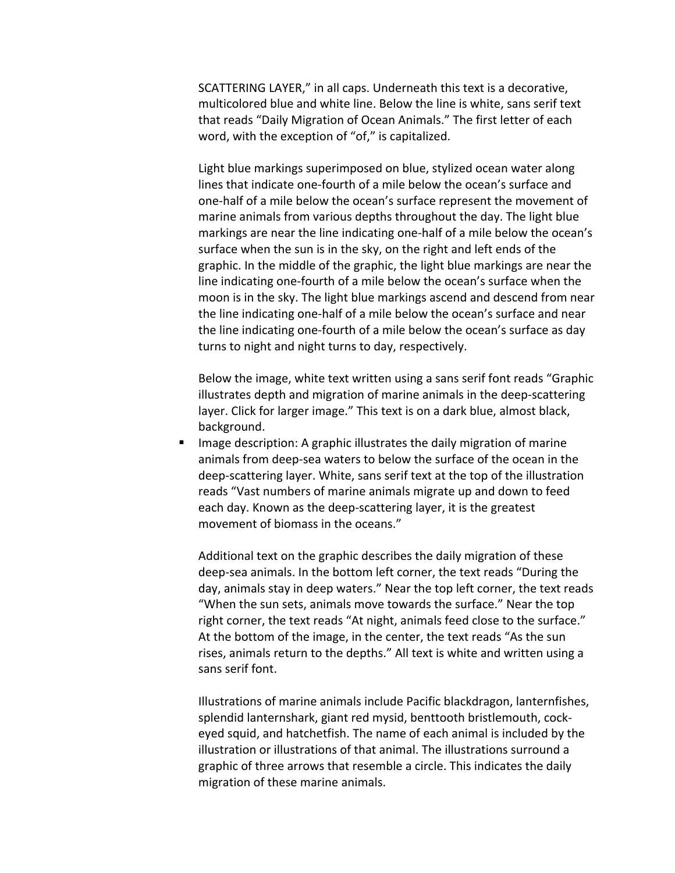SCATTERING LAYER," in all caps. Underneath this text is a decorative, multicolored blue and white line. Below the line is white, sans serif text that reads "Daily Migration of Ocean Animals." The first letter of each word, with the exception of "of," is capitalized.

Light blue markings superimposed on blue, stylized ocean water along lines that indicate one-fourth of a mile below the ocean's surface and one-half of a mile below the ocean's surface represent the movement of marine animals from various depths throughout the day. The light blue markings are near the line indicating one-half of a mile below the ocean's surface when the sun is in the sky, on the right and left ends of the graphic. In the middle of the graphic, the light blue markings are near the line indicating one-fourth of a mile below the ocean's surface when the moon is in the sky. The light blue markings ascend and descend from near the line indicating one-half of a mile below the ocean's surface and near the line indicating one-fourth of a mile below the ocean's surface as day turns to night and night turns to day, respectively.

Below the image, white text written using a sans serif font reads "Graphic illustrates depth and migration of marine animals in the deep-scattering layer. Click for larger image." This text is on a dark blue, almost black, background.

§ Image description: A graphic illustrates the daily migration of marine animals from deep-sea waters to below the surface of the ocean in the deep-scattering layer. White, sans serif text at the top of the illustration reads "Vast numbers of marine animals migrate up and down to feed each day. Known as the deep-scattering layer, it is the greatest movement of biomass in the oceans."

Additional text on the graphic describes the daily migration of these deep-sea animals. In the bottom left corner, the text reads "During the day, animals stay in deep waters." Near the top left corner, the text reads "When the sun sets, animals move towards the surface." Near the top right corner, the text reads "At night, animals feed close to the surface." At the bottom of the image, in the center, the text reads "As the sun rises, animals return to the depths." All text is white and written using a sans serif font.

Illustrations of marine animals include Pacific blackdragon, lanternfishes, splendid lanternshark, giant red mysid, benttooth bristlemouth, cockeyed squid, and hatchetfish. The name of each animal is included by the illustration or illustrations of that animal. The illustrations surround a graphic of three arrows that resemble a circle. This indicates the daily migration of these marine animals.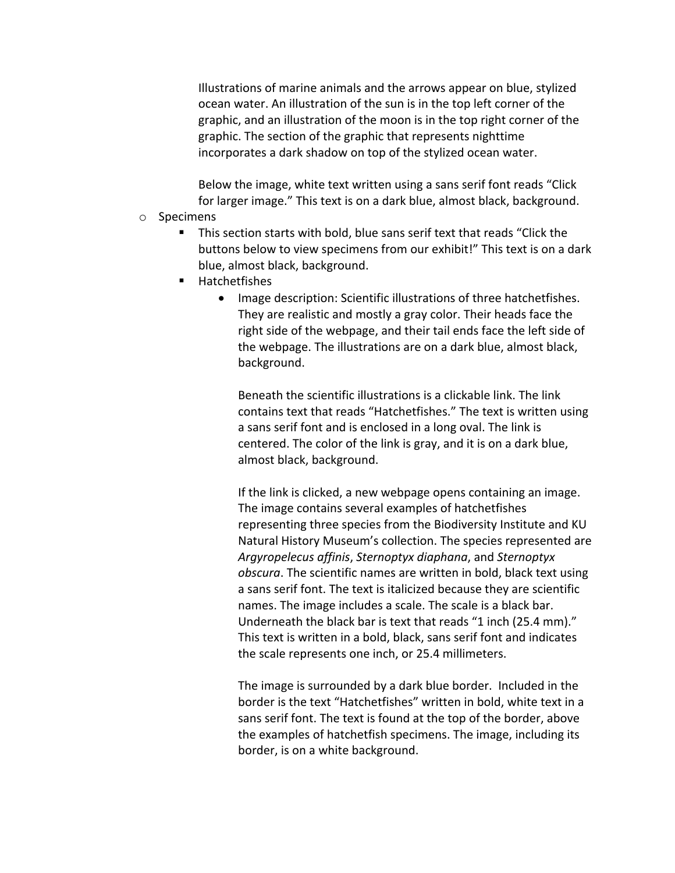Illustrations of marine animals and the arrows appear on blue, stylized ocean water. An illustration of the sun is in the top left corner of the graphic, and an illustration of the moon is in the top right corner of the graphic. The section of the graphic that represents nighttime incorporates a dark shadow on top of the stylized ocean water.

Below the image, white text written using a sans serif font reads "Click for larger image." This text is on a dark blue, almost black, background.

- o Specimens
	- § This section starts with bold, blue sans serif text that reads "Click the buttons below to view specimens from our exhibit!" This text is on a dark blue, almost black, background.
	- § Hatchetfishes
		- Image description: Scientific illustrations of three hatchetfishes. They are realistic and mostly a gray color. Their heads face the right side of the webpage, and their tail ends face the left side of the webpage. The illustrations are on a dark blue, almost black, background.

Beneath the scientific illustrations is a clickable link. The link contains text that reads "Hatchetfishes." The text is written using a sans serif font and is enclosed in a long oval. The link is centered. The color of the link is gray, and it is on a dark blue, almost black, background.

If the link is clicked, a new webpage opens containing an image. The image contains several examples of hatchetfishes representing three species from the Biodiversity Institute and KU Natural History Museum's collection. The species represented are *Argyropelecus affinis*, *Sternoptyx diaphana*, and *Sternoptyx obscura*. The scientific names are written in bold, black text using a sans serif font. The text is italicized because they are scientific names. The image includes a scale. The scale is a black bar. Underneath the black bar is text that reads "1 inch (25.4 mm)." This text is written in a bold, black, sans serif font and indicates the scale represents one inch, or 25.4 millimeters.

The image is surrounded by a dark blue border. Included in the border is the text "Hatchetfishes" written in bold, white text in a sans serif font. The text is found at the top of the border, above the examples of hatchetfish specimens. The image, including its border, is on a white background.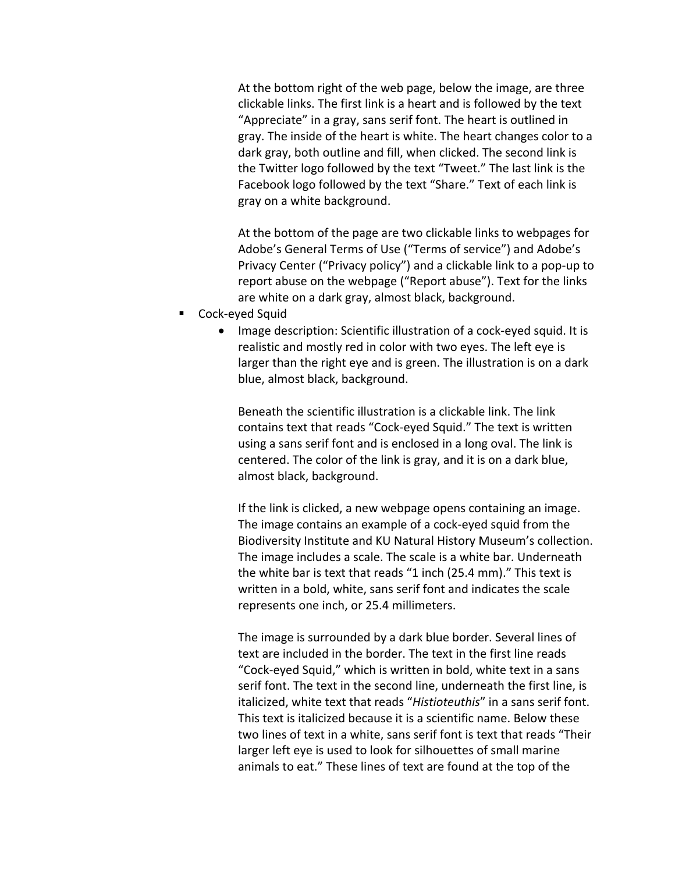At the bottom right of the web page, below the image, are three clickable links. The first link is a heart and is followed by the text "Appreciate" in a gray, sans serif font. The heart is outlined in gray. The inside of the heart is white. The heart changes color to a dark gray, both outline and fill, when clicked. The second link is the Twitter logo followed by the text "Tweet." The last link is the Facebook logo followed by the text "Share." Text of each link is gray on a white background.

At the bottom of the page are two clickable links to webpages for Adobe's General Terms of Use ("Terms of service") and Adobe's Privacy Center ("Privacy policy") and a clickable link to a pop-up to report abuse on the webpage ("Report abuse"). Text for the links are white on a dark gray, almost black, background.

- § Cock-eyed Squid
	- Image description: Scientific illustration of a cock-eyed squid. It is realistic and mostly red in color with two eyes. The left eye is larger than the right eye and is green. The illustration is on a dark blue, almost black, background.

Beneath the scientific illustration is a clickable link. The link contains text that reads "Cock-eyed Squid." The text is written using a sans serif font and is enclosed in a long oval. The link is centered. The color of the link is gray, and it is on a dark blue, almost black, background.

If the link is clicked, a new webpage opens containing an image. The image contains an example of a cock-eyed squid from the Biodiversity Institute and KU Natural History Museum's collection. The image includes a scale. The scale is a white bar. Underneath the white bar is text that reads "1 inch (25.4 mm)." This text is written in a bold, white, sans serif font and indicates the scale represents one inch, or 25.4 millimeters.

The image is surrounded by a dark blue border. Several lines of text are included in the border. The text in the first line reads "Cock-eyed Squid," which is written in bold, white text in a sans serif font. The text in the second line, underneath the first line, is italicized, white text that reads "*Histioteuthis*" in a sans serif font. This text is italicized because it is a scientific name. Below these two lines of text in a white, sans serif font is text that reads "Their larger left eye is used to look for silhouettes of small marine animals to eat." These lines of text are found at the top of the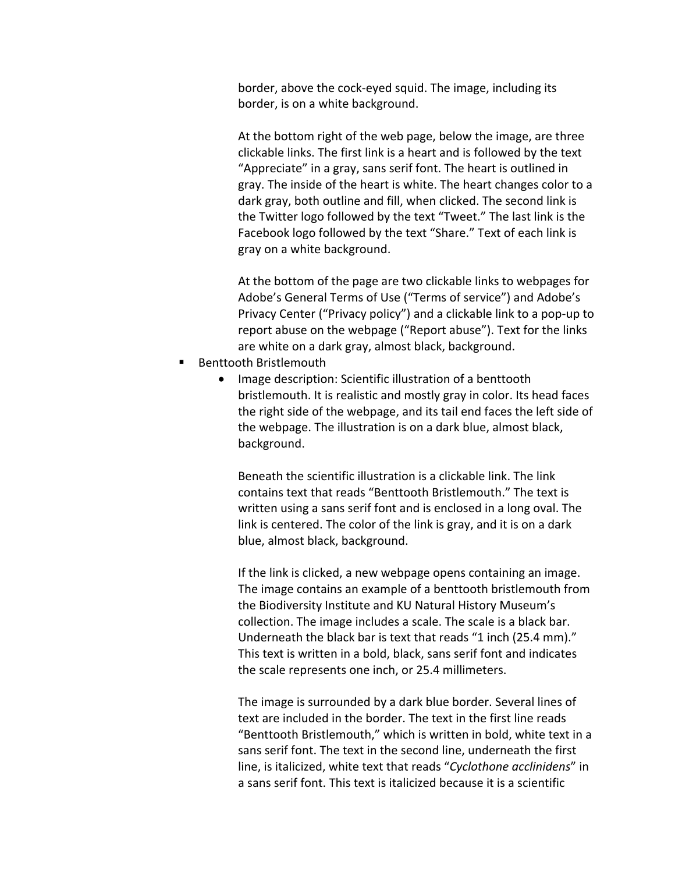border, above the cock-eyed squid. The image, including its border, is on a white background.

At the bottom right of the web page, below the image, are three clickable links. The first link is a heart and is followed by the text "Appreciate" in a gray, sans serif font. The heart is outlined in gray. The inside of the heart is white. The heart changes color to a dark gray, both outline and fill, when clicked. The second link is the Twitter logo followed by the text "Tweet." The last link is the Facebook logo followed by the text "Share." Text of each link is gray on a white background.

At the bottom of the page are two clickable links to webpages for Adobe's General Terms of Use ("Terms of service") and Adobe's Privacy Center ("Privacy policy") and a clickable link to a pop-up to report abuse on the webpage ("Report abuse"). Text for the links are white on a dark gray, almost black, background.

- § Benttooth Bristlemouth
	- Image description: Scientific illustration of a benttooth bristlemouth. It is realistic and mostly gray in color. Its head faces the right side of the webpage, and its tail end faces the left side of the webpage. The illustration is on a dark blue, almost black, background.

Beneath the scientific illustration is a clickable link. The link contains text that reads "Benttooth Bristlemouth." The text is written using a sans serif font and is enclosed in a long oval. The link is centered. The color of the link is gray, and it is on a dark blue, almost black, background.

If the link is clicked, a new webpage opens containing an image. The image contains an example of a benttooth bristlemouth from the Biodiversity Institute and KU Natural History Museum's collection. The image includes a scale. The scale is a black bar. Underneath the black bar is text that reads "1 inch (25.4 mm)." This text is written in a bold, black, sans serif font and indicates the scale represents one inch, or 25.4 millimeters.

The image is surrounded by a dark blue border. Several lines of text are included in the border. The text in the first line reads "Benttooth Bristlemouth," which is written in bold, white text in a sans serif font. The text in the second line, underneath the first line, is italicized, white text that reads "*Cyclothone acclinidens*" in a sans serif font. This text is italicized because it is a scientific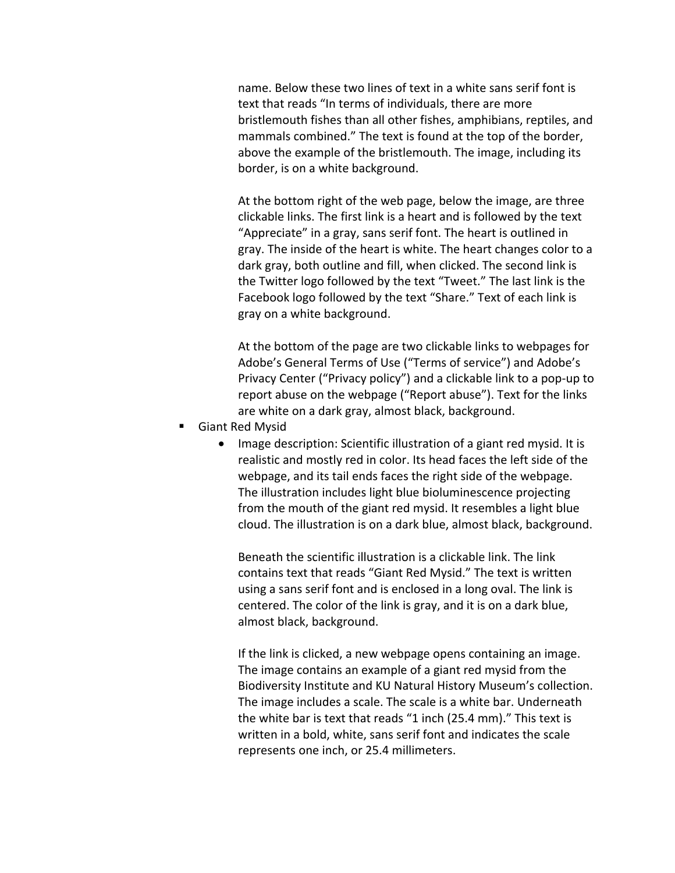name. Below these two lines of text in a white sans serif font is text that reads "In terms of individuals, there are more bristlemouth fishes than all other fishes, amphibians, reptiles, and mammals combined." The text is found at the top of the border, above the example of the bristlemouth. The image, including its border, is on a white background.

At the bottom right of the web page, below the image, are three clickable links. The first link is a heart and is followed by the text "Appreciate" in a gray, sans serif font. The heart is outlined in gray. The inside of the heart is white. The heart changes color to a dark gray, both outline and fill, when clicked. The second link is the Twitter logo followed by the text "Tweet." The last link is the Facebook logo followed by the text "Share." Text of each link is gray on a white background.

At the bottom of the page are two clickable links to webpages for Adobe's General Terms of Use ("Terms of service") and Adobe's Privacy Center ("Privacy policy") and a clickable link to a pop-up to report abuse on the webpage ("Report abuse"). Text for the links are white on a dark gray, almost black, background.

- § Giant Red Mysid
	- Image description: Scientific illustration of a giant red mysid. It is realistic and mostly red in color. Its head faces the left side of the webpage, and its tail ends faces the right side of the webpage. The illustration includes light blue bioluminescence projecting from the mouth of the giant red mysid. It resembles a light blue cloud. The illustration is on a dark blue, almost black, background.

Beneath the scientific illustration is a clickable link. The link contains text that reads "Giant Red Mysid." The text is written using a sans serif font and is enclosed in a long oval. The link is centered. The color of the link is gray, and it is on a dark blue, almost black, background.

If the link is clicked, a new webpage opens containing an image. The image contains an example of a giant red mysid from the Biodiversity Institute and KU Natural History Museum's collection. The image includes a scale. The scale is a white bar. Underneath the white bar is text that reads "1 inch (25.4 mm)." This text is written in a bold, white, sans serif font and indicates the scale represents one inch, or 25.4 millimeters.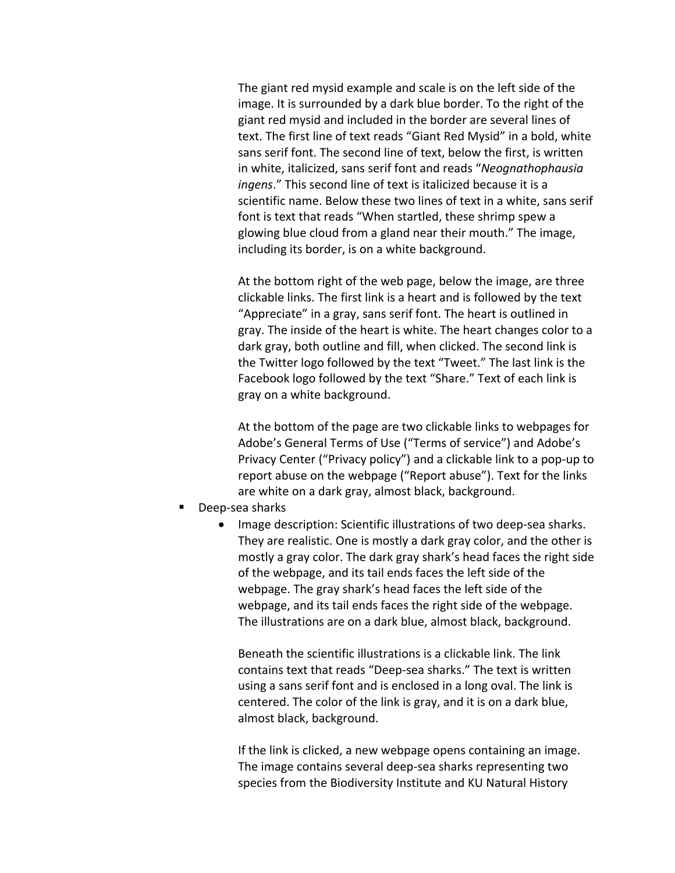The giant red mysid example and scale is on the left side of the image. It is surrounded by a dark blue border. To the right of the giant red mysid and included in the border are several lines of text. The first line of text reads "Giant Red Mysid" in a bold, white sans serif font. The second line of text, below the first, is written in white, italicized, sans serif font and reads "*Neognathophausia ingens*." This second line of text is italicized because it is a scientific name. Below these two lines of text in a white, sans serif font is text that reads "When startled, these shrimp spew a glowing blue cloud from a gland near their mouth." The image, including its border, is on a white background.

At the bottom right of the web page, below the image, are three clickable links. The first link is a heart and is followed by the text "Appreciate" in a gray, sans serif font. The heart is outlined in gray. The inside of the heart is white. The heart changes color to a dark gray, both outline and fill, when clicked. The second link is the Twitter logo followed by the text "Tweet." The last link is the Facebook logo followed by the text "Share." Text of each link is gray on a white background.

At the bottom of the page are two clickable links to webpages for Adobe's General Terms of Use ("Terms of service") and Adobe's Privacy Center ("Privacy policy") and a clickable link to a pop-up to report abuse on the webpage ("Report abuse"). Text for the links are white on a dark gray, almost black, background.

- Deep-sea sharks
	- Image description: Scientific illustrations of two deep-sea sharks. They are realistic. One is mostly a dark gray color, and the other is mostly a gray color. The dark gray shark's head faces the right side of the webpage, and its tail ends faces the left side of the webpage. The gray shark's head faces the left side of the webpage, and its tail ends faces the right side of the webpage. The illustrations are on a dark blue, almost black, background.

Beneath the scientific illustrations is a clickable link. The link contains text that reads "Deep-sea sharks." The text is written using a sans serif font and is enclosed in a long oval. The link is centered. The color of the link is gray, and it is on a dark blue, almost black, background.

If the link is clicked, a new webpage opens containing an image. The image contains several deep-sea sharks representing two species from the Biodiversity Institute and KU Natural History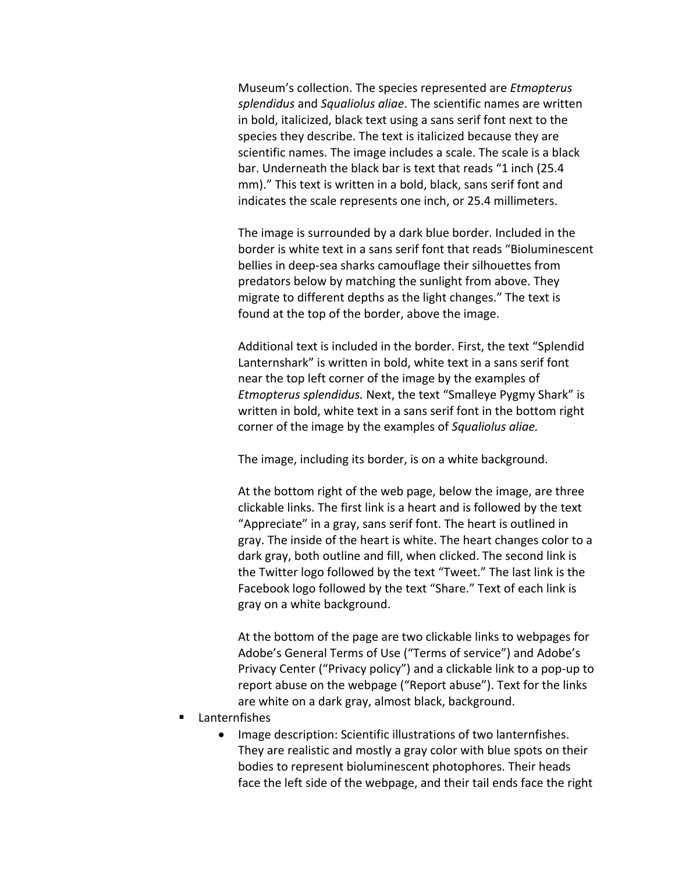Museum's collection. The species represented are *Etmopterus splendidus* and *Squaliolus aliae*. The scientific names are written in bold, italicized, black text using a sans serif font next to the species they describe. The text is italicized because they are scientific names. The image includes a scale. The scale is a black bar. Underneath the black bar is text that reads "1 inch (25.4 mm)." This text is written in a bold, black, sans serif font and indicates the scale represents one inch, or 25.4 millimeters.

The image is surrounded by a dark blue border. Included in the border is white text in a sans serif font that reads "Bioluminescent bellies in deep-sea sharks camouflage their silhouettes from predators below by matching the sunlight from above. They migrate to different depths as the light changes." The text is found at the top of the border, above the image.

Additional text is included in the border. First, the text "Splendid Lanternshark" is written in bold, white text in a sans serif font near the top left corner of the image by the examples of *Etmopterus splendidus.* Next, the text "Smalleye Pygmy Shark" is written in bold, white text in a sans serif font in the bottom right corner of the image by the examples of *Squaliolus aliae.*

The image, including its border, is on a white background.

At the bottom right of the web page, below the image, are three clickable links. The first link is a heart and is followed by the text "Appreciate" in a gray, sans serif font. The heart is outlined in gray. The inside of the heart is white. The heart changes color to a dark gray, both outline and fill, when clicked. The second link is the Twitter logo followed by the text "Tweet." The last link is the Facebook logo followed by the text "Share." Text of each link is gray on a white background.

At the bottom of the page are two clickable links to webpages for Adobe's General Terms of Use ("Terms of service") and Adobe's Privacy Center ("Privacy policy") and a clickable link to a pop-up to report abuse on the webpage ("Report abuse"). Text for the links are white on a dark gray, almost black, background.

- Lanternfishes
	- Image description: Scientific illustrations of two lanternfishes. They are realistic and mostly a gray color with blue spots on their bodies to represent bioluminescent photophores. Their heads face the left side of the webpage, and their tail ends face the right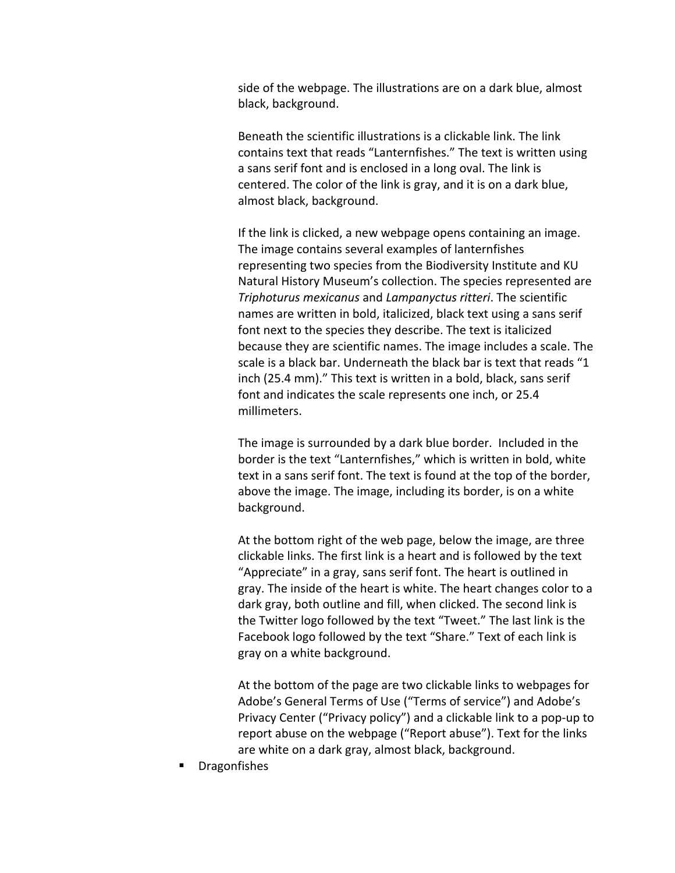side of the webpage. The illustrations are on a dark blue, almost black, background.

Beneath the scientific illustrations is a clickable link. The link contains text that reads "Lanternfishes." The text is written using a sans serif font and is enclosed in a long oval. The link is centered. The color of the link is gray, and it is on a dark blue, almost black, background.

If the link is clicked, a new webpage opens containing an image. The image contains several examples of lanternfishes representing two species from the Biodiversity Institute and KU Natural History Museum's collection. The species represented are *Triphoturus mexicanus* and *Lampanyctus ritteri*. The scientific names are written in bold, italicized, black text using a sans serif font next to the species they describe. The text is italicized because they are scientific names. The image includes a scale. The scale is a black bar. Underneath the black bar is text that reads "1 inch (25.4 mm)." This text is written in a bold, black, sans serif font and indicates the scale represents one inch, or 25.4 millimeters.

The image is surrounded by a dark blue border. Included in the border is the text "Lanternfishes," which is written in bold, white text in a sans serif font. The text is found at the top of the border, above the image. The image, including its border, is on a white background.

At the bottom right of the web page, below the image, are three clickable links. The first link is a heart and is followed by the text "Appreciate" in a gray, sans serif font. The heart is outlined in gray. The inside of the heart is white. The heart changes color to a dark gray, both outline and fill, when clicked. The second link is the Twitter logo followed by the text "Tweet." The last link is the Facebook logo followed by the text "Share." Text of each link is gray on a white background.

At the bottom of the page are two clickable links to webpages for Adobe's General Terms of Use ("Terms of service") and Adobe's Privacy Center ("Privacy policy") and a clickable link to a pop-up to report abuse on the webpage ("Report abuse"). Text for the links are white on a dark gray, almost black, background.

§ Dragonfishes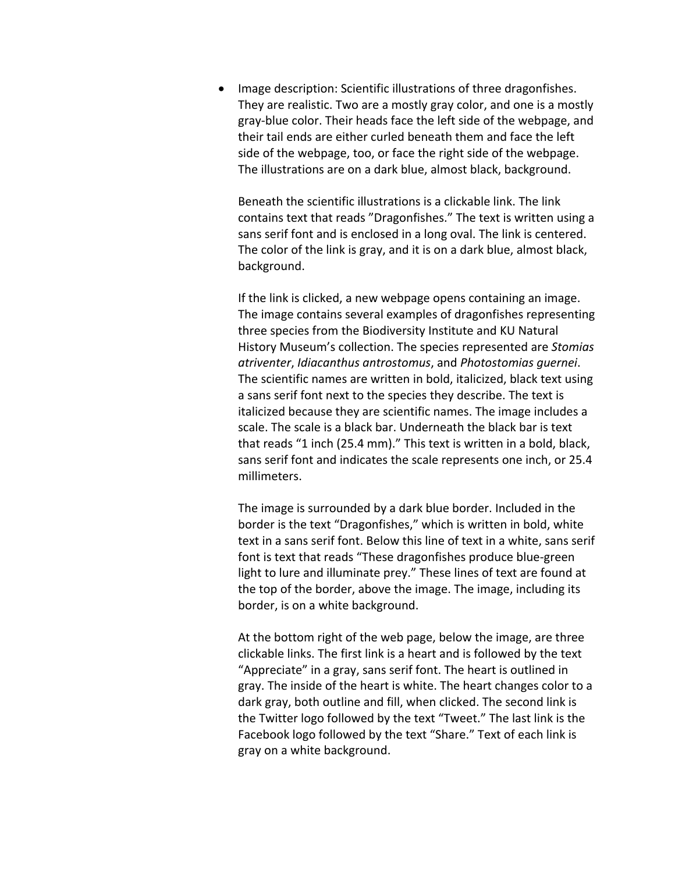• Image description: Scientific illustrations of three dragonfishes. They are realistic. Two are a mostly gray color, and one is a mostly gray-blue color. Their heads face the left side of the webpage, and their tail ends are either curled beneath them and face the left side of the webpage, too, or face the right side of the webpage. The illustrations are on a dark blue, almost black, background.

Beneath the scientific illustrations is a clickable link. The link contains text that reads "Dragonfishes." The text is written using a sans serif font and is enclosed in a long oval. The link is centered. The color of the link is gray, and it is on a dark blue, almost black, background.

If the link is clicked, a new webpage opens containing an image. The image contains several examples of dragonfishes representing three species from the Biodiversity Institute and KU Natural History Museum's collection. The species represented are *Stomias atriventer*, *Idiacanthus antrostomus*, and *Photostomias guernei*. The scientific names are written in bold, italicized, black text using a sans serif font next to the species they describe. The text is italicized because they are scientific names. The image includes a scale. The scale is a black bar. Underneath the black bar is text that reads "1 inch (25.4 mm)." This text is written in a bold, black, sans serif font and indicates the scale represents one inch, or 25.4 millimeters.

The image is surrounded by a dark blue border. Included in the border is the text "Dragonfishes," which is written in bold, white text in a sans serif font. Below this line of text in a white, sans serif font is text that reads "These dragonfishes produce blue-green light to lure and illuminate prey." These lines of text are found at the top of the border, above the image. The image, including its border, is on a white background.

At the bottom right of the web page, below the image, are three clickable links. The first link is a heart and is followed by the text "Appreciate" in a gray, sans serif font. The heart is outlined in gray. The inside of the heart is white. The heart changes color to a dark gray, both outline and fill, when clicked. The second link is the Twitter logo followed by the text "Tweet." The last link is the Facebook logo followed by the text "Share." Text of each link is gray on a white background.